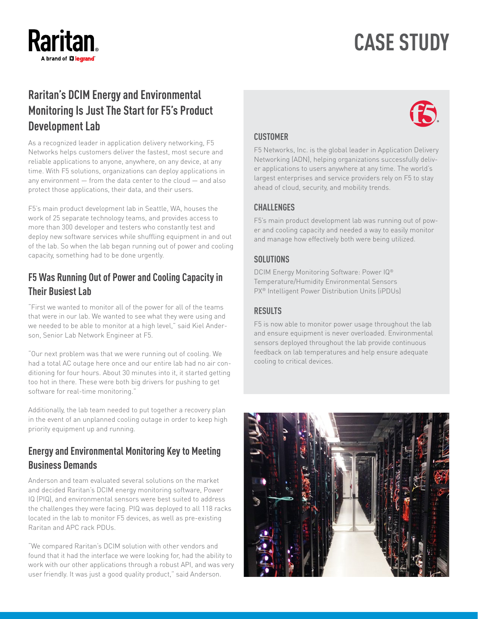# **Raritan** brand of **L'I legran**d

# **CASE STUDY**

# **Raritan's DCIM Energy and Environmental Monitoring Is Just The Start for F5's Product Development Lab**

As a recognized leader in application delivery networking, F5 Networks helps customers deliver the fastest, most secure and reliable applications to anyone, anywhere, on any device, at any time. With F5 solutions, organizations can deploy applications in any environment — from the data center to the cloud — and also protect those applications, their data, and their users.

F5's main product development lab in Seattle, WA, houses the work of 25 separate technology teams, and provides access to more than 300 developer and testers who constantly test and deploy new software services while shuffling equipment in and out of the lab. So when the lab began running out of power and cooling capacity, something had to be done urgently.

## **F5 Was Running Out of Power and Cooling Capacity in Their Busiest Lab**

"First we wanted to monitor all of the power for all of the teams that were in our lab. We wanted to see what they were using and we needed to be able to monitor at a high level," said Kiel Anderson, Senior Lab Network Engineer at F5.

"Our next problem was that we were running out of cooling. We had a total AC outage here once and our entire lab had no air conditioning for four hours. About 30 minutes into it, it started getting too hot in there. These were both big drivers for pushing to get software for real-time monitoring."

Additionally, the lab team needed to put together a recovery plan in the event of an unplanned cooling outage in order to keep high priority equipment up and running.

### **Energy and Environmental Monitoring Key to Meeting Business Demands**

Anderson and team evaluated several solutions on the market and decided Raritan's DCIM energy monitoring software, Power IQ (PIQ), and environmental sensors were best suited to address the challenges they were facing. PIQ was deployed to all 118 racks located in the lab to monitor F5 devices, as well as pre-existing Raritan and APC rack PDUs.

"We compared Raritan's DCIM solution with other vendors and found that it had the interface we were looking for, had the ability to work with our other applications through a robust API, and was very user friendly. It was just a good quality product," said Anderson.



#### **CUSTOMER**

F5 Networks, Inc. is the global leader in Application Delivery Networking (ADN), helping organizations successfully deliver applications to users anywhere at any time. The world's largest enterprises and service providers rely on F5 to stay ahead of cloud, security, and mobility trends.

#### **CHALLENGES**

F5's main product development lab was running out of power and cooling capacity and needed a way to easily monitor and manage how effectively both were being utilized.

#### **SOLUTIONS**

DCIM Energy Monitoring Software: Power IQ® Temperature/Humidity Environmental Sensors PX® Intelligent Power Distribution Units (iPDUs)

#### **RESULTS**

F5 is now able to monitor power usage throughout the lab and ensure equipment is never overloaded. Environmental sensors deployed throughout the lab provide continuous feedback on lab temperatures and help ensure adequate cooling to critical devices.